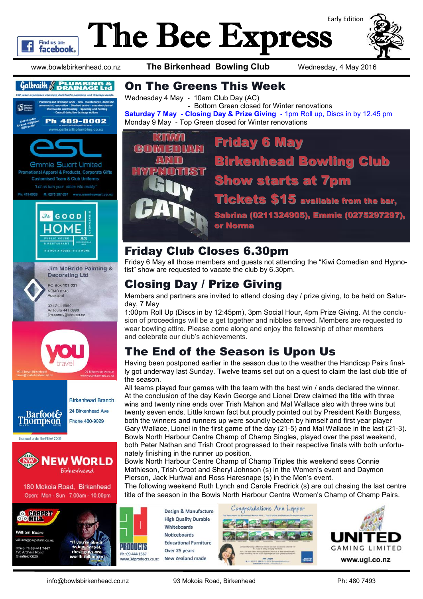

www.bowlsbirkenhead.co.nz **The Birkenhead Bowling Club** Wednesday, 4 May 2016

Find us on: **facebook** 





Open: Mon - Sun 7.00am - 10.00pm



**William Beare** william@carpetmill.co.nz ice Ph 09 441 7447 field 0629



#### On The Greens This Week

Wednesday 4 May - 10am Club Day (AC) - Bottom Green closed for Winter renovations **Saturday 7 May - Closing Day & Prize Giving -** 1pm Roll up, Discs in by 12.45 pm Monday 9 May - Top Green closed for Winter renovations



#### Friday Club Closes 6.30pm

Friday 6 May all those members and guests not attending the "Kiwi Comedian and Hypnotist" show are requested to vacate the club by 6.30pm.

# Closing Day / Prize Giving

Members and partners are invited to attend closing day / prize giving, to be held on Saturday, 7 May

1:00pm Roll Up (Discs in by 12:45pm), 3pm Social Hour, 4pm Prize Giving. At the conclusion of proceedings will be a get together and nibbles served. Members are requested to wear bowling attire. Please come along and enjoy the fellowship of other members and celebrate our club's achievements.

### The End of the Season is Upon Us

Having been postponed earlier in the season due to the weather the Handicap Pairs finally got underway last Sunday. Twelve teams set out on a quest to claim the last club title of the season.

All teams played four games with the team with the best win / ends declared the winner. At the conclusion of the day Kevin George and Lionel Drew claimed the title with three wins and twenty nine ends over Trish Mahon and Mal Wallace also with three wins but twenty seven ends. Little known fact but proudly pointed out by President Keith Burgess, both the winners and runners up were soundly beaten by himself and first year player Gary Wallace, Lionel in the first game of the day (21-5) and Mal Wallace in the last (21-3). Bowls North Harbour Centre Champ of Champ Singles, played over the past weekend, both Peter Nathan and Trish Croot progressed to their respective finals with both unfortunately finishing in the runner up position.

Bowls North Harbour Centre Champ of Champ Triples this weekend sees Connie Mathieson, Trish Croot and Sheryl Johnson (s) in the Women's event and Daymon Pierson, Jack Huriwai and Ross Haresnape (s) in the Men's event.

The following weekend Ruth Lynch and Carole Fredrick (s) are out chasing the last centre title of the season in the Bowls North Harbour Centre Women's Champ of Champ Pairs.

Design & Manufacture **High Quality Durable** Whiteboards **Noticeboards Educational Furniture** Over 25 years New Zealand made